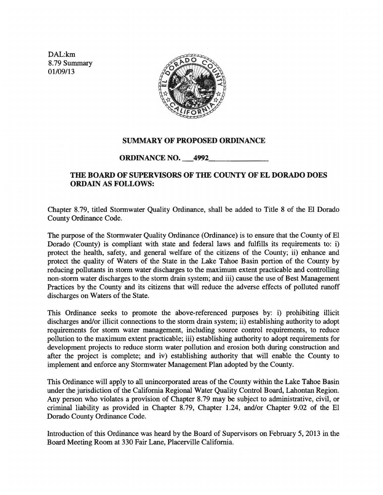DAL:km 8. 79 Summary 01109/13



## SUMMARY OF PROPOSED ORDINANCE

## ORDINANCE NO. 4992

## THE BOARD OF SUPERVISORS OF THE COUNTY OF EL DORADO DOES ORDAIN AS FOLLOWS:

Chapter 8.79, titled Stormwater Quality Ordinance, shall be added to Title 8 of the El Dorado County Ordinance Code.

The purpose of the Stormwater Quality Ordinance (Ordinance) is to ensure that the County of El Dorado (County) is compliant with state and federal laws and fulfills its requirements to: i) protect the health, safety, and general welfare of the citizens of the County; ii) enhance and protect the quality of Waters of the State in the Lake Tahoe Basin portion of the County by reducing pollutants in storm water discharges to the maximum extent practicable and controlling non-storm water discharges to the storm drain system; and iii) cause the use of Best Management Practices by the County and its citizens that will reduce the adverse effects of polluted runoff discharges on Waters of the State.

This Ordinance seeks to promote the above-referenced purposes by: i) prohibiting illicit discharges and/or illicit connections to the storm drain system; ii) establishing authority to adopt requirements for storm water management, including source control requirements, to reduce pollution to the maximum extent practicable; iii) establishing authority to adopt requirements for development projects to reduce storm water pollution and erosion both during construction and after the project is complete; and iv) establishing authority that will enable the County to implement and enforce any Stormwater Management Plan adopted by the County.

This Ordinance will apply to all unincorporated areas of the County within the Lake Tahoe Basin under the jurisdiction of the California Regional Water Quality Control Board, Lahontan Region. Any person who violates a provision of Chapter 8.79 may be subject to administrative, civil, or criminal liability as provided in Chapter 8.79, Chapter 1.24, and/or Chapter 9.02 of the El Dorado County Ordinance Code.

Introduction of this Ordinance was heard by the Board of Supervisors on February 5, 2013 in the Board Meeting Room at 330 Fair Lane, Placerville California.